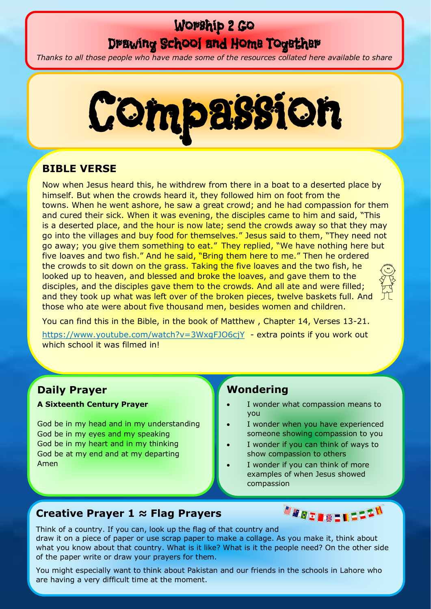# Worship 2 Go Drawing School and Home Together

*Thanks to all those people who have made some of the resources collated here available to share*



## **BIBLE VERSE**

Now when Jesus heard this, he withdrew from there in a boat to a deserted place by himself. But when the crowds heard it, they followed him on foot from the towns. When he went ashore, he saw a great crowd; and he had compassion for them and cured their sick. When it was evening, the disciples came to him and said, "This is a deserted place, and the hour is now late; send the crowds away so that they may go into the villages and buy food for themselves." Jesus said to them, "They need not go away; you give them something to eat." They replied, "We have nothing here but five loaves and two fish." And he said, "Bring them here to me." Then he ordered the crowds to sit down on the grass. Taking the five loaves and the two fish, he looked up to heaven, and blessed and broke the loaves, and gave them to the disciples, and the disciples gave them to the crowds. And all ate and were filled; and they took up what was left over of the broken pieces, twelve baskets full. And those who ate were about five thousand men, besides women and children.

You can find this in the Bible, in the book of Matthew , Chapter 14, Verses 13-21.

<https://www.youtube.com/watch?v=3WxgFJO6cjY>- extra points if you work out which school it was filmed in!

## **Daily Prayer**

**A Sixteenth Century Prayer** 

God be in my head and in my understanding God be in my eyes and my speaking God be in my heart and in my thinking God be at my end and at my departing Amen

### **Wondering**

- I wonder what compassion means to you
- I wonder when you have experienced someone showing compassion to you
- I wonder if you can think of ways to show compassion to others
- I wonder if you can think of more examples of when Jesus showed compassion

## **Creative Prayer 1 ≈ Flag Prayers**



Think of a country. If you can, look up the flag of that country and draw it on a piece of paper or use scrap paper to make a collage. As you make it, think about what you know about that country. What is it like? What is it the people need? On the other side of the paper write or draw your prayers for them.

You might especially want to think about Pakistan and our friends in the schools in Lahore who are having a very difficult time at the moment.